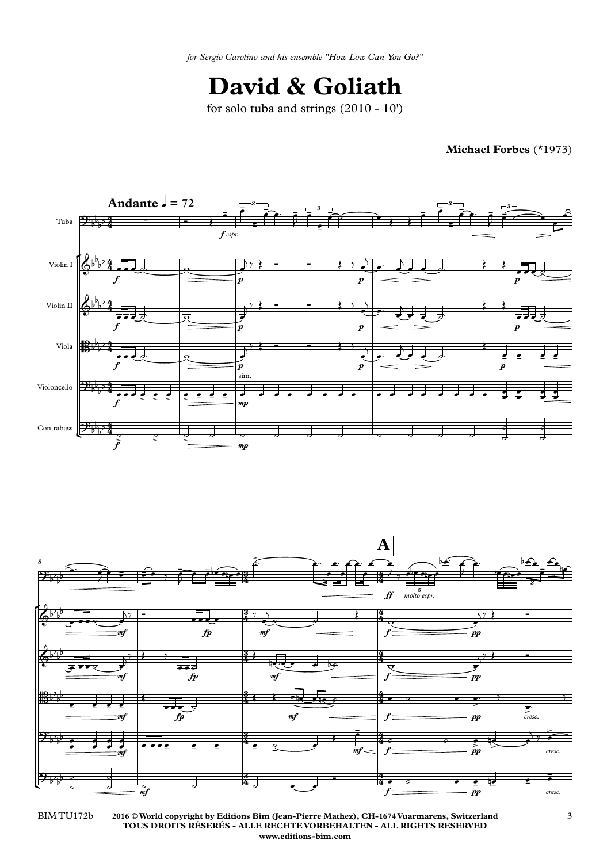*for Sergio Carolino and his ensemble "How Low Can You Go?"*

**David & Goliath**

for solo tuba and strings (2010 - 10')

## <sup>3</sup> **Michael Forbes** (\*1973)





**2016 © World copyright by Editions Bim (Jean-Pierre Mathez), CH-1674 Vuarmarens, Switzerland** BIM TU172b 3**TOUS DROITS RÉSERÉS - ALLE RECHTE VORBEHALTEN - ALL RIGHTS RESERVED www.editions-bim.com**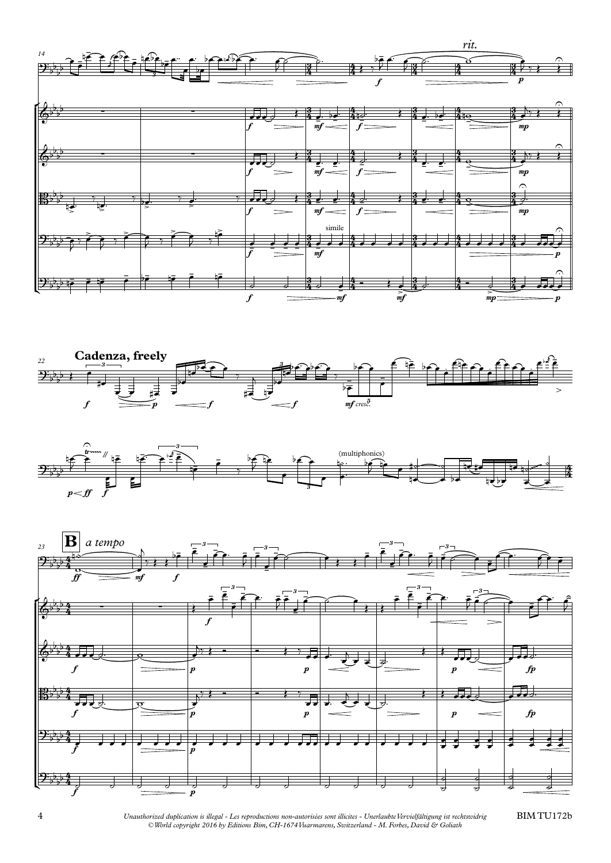







*Unauthorized duplication is illegal - Les reproductions non-autorisées sont illicites - Unerlaubte Vervielfältigung ist rechtswidrig* BIM TU172b *© World copyright 2016 by Editions Bim, CH-1674 Vuarmarens, Switzerland - M. Forbes, David & Goliath*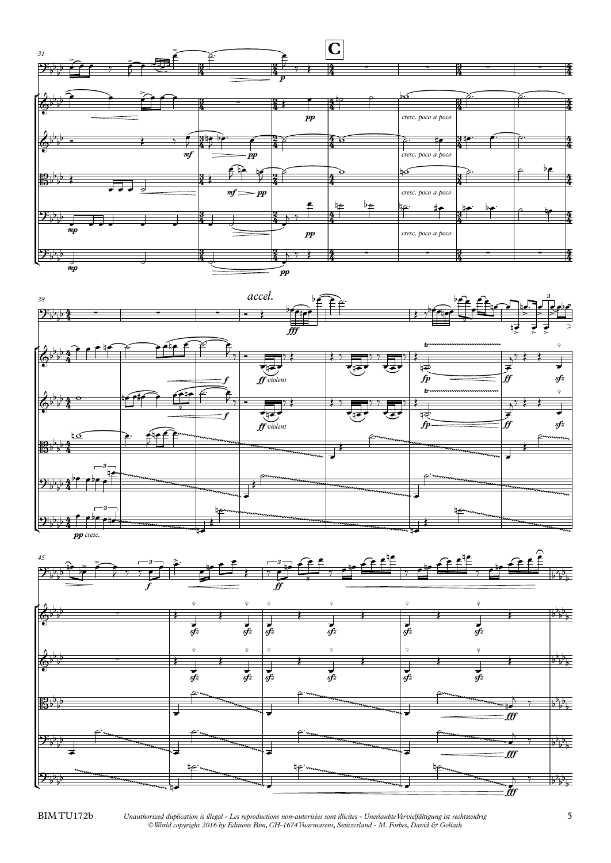





Dinauthorized duplication is illegal - Les reproductions non-autorisées sont illicites - Unerlaubte Vervielfältigung ist rechtswidrig<br>© World copyright 2016 by Editions Bim, CH-1674 Vuarmarens, Switzerland - M. Forbes, Dav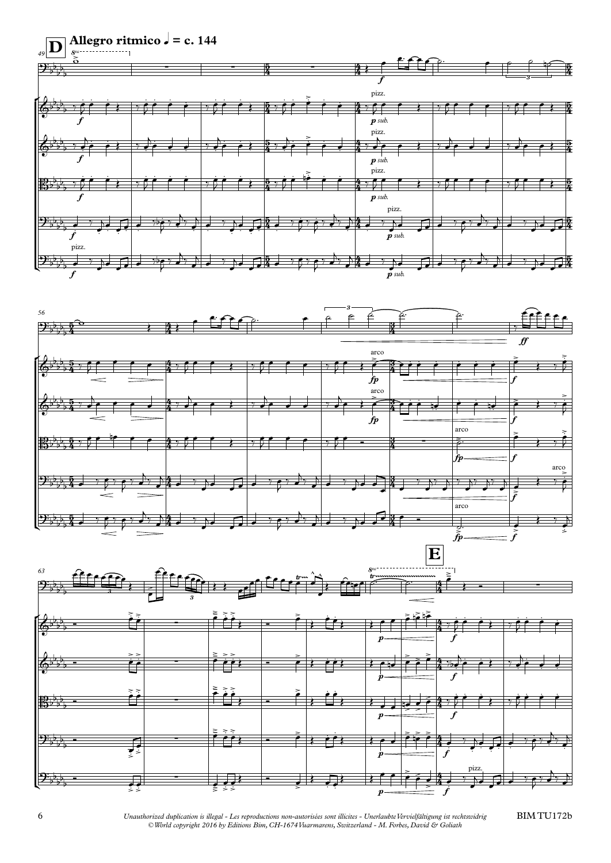

*Unauthorized duplication is illegal - Les reproductions non-autorisées sont illicites - Unerlaubte Vervielfältigung ist rechtswidrig* BIM TU172b *© World copyright 2016 by Editions Bim, CH-1674 Vuarmarens, Switzerland - M. Forbes, David & Goliath*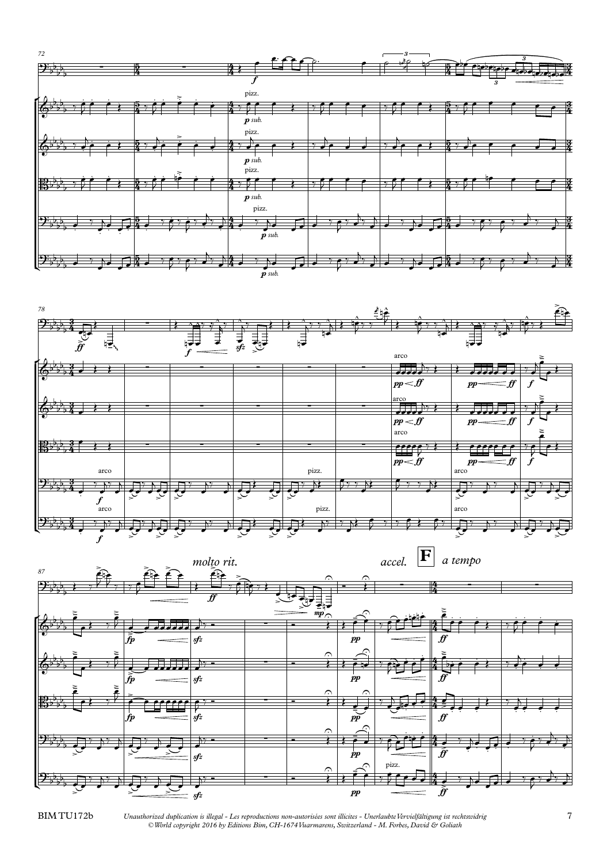



BIM TU172b *Unauthorized duplication is illegal - Les reproductions non-autorisées sont illicites - Unerlaubte Vervielfältigung ist rechtswidrig © World copyright 2016 by Editions Bim, CH-1674 Vuarmarens, Switzerland - M. Forbes, David & Goliath*